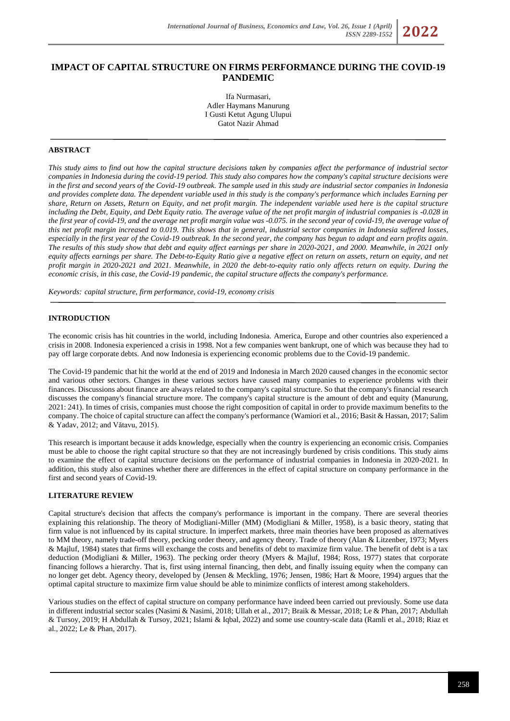# **IMPACT OF CAPITAL STRUCTURE ON FIRMS PERFORMANCE DURING THE COVID-19 PANDEMIC**

Ifa Nurmasari, Adler Haymans Manurung I Gusti Ketut Agung Ulupui Gatot Nazir Ahmad

## **ABSTRACT**

*This study aims to find out how the capital structure decisions taken by companies affect the performance of industrial sector companies in Indonesia during the covid-19 period. This study also compares how the company's capital structure decisions were in the first and second years of the Covid-19 outbreak. The sample used in this study are industrial sector companies in Indonesia and provides complete data. The dependent variable used in this study is the company's performance which includes Earning per share, Return on Assets, Return on Equity, and net profit margin. The independent variable used here is the capital structure including the Debt, Equity, and Debt Equity ratio. The average value of the net profit margin of industrial companies is -0.028 in the first year of covid-19, and the average net profit margin value was -0.075. in the second year of covid-19, the average value of this net profit margin increased to 0.019. This shows that in general, industrial sector companies in Indonesia suffered losses, especially in the first year of the Covid-19 outbreak. In the second year, the company has begun to adapt and earn profits again. The results of this study show that debt and equity affect earnings per share in 2020-2021, and 2000. Meanwhile, in 2021 only equity affects earnings per share. The Debt-to-Equity Ratio give a negative effect on return on assets, return on equity, and net profit margin in 2020-2021 and 2021. Meanwhile, in 2020 the debt-to-equity ratio only affects return on equity. During the economic crisis, in this case, the Covid-19 pandemic, the capital structure affects the company's performance.*

*Keywords: capital structure, firm performance, covid-19, economy crisis*

## **INTRODUCTION**

The economic crisis has hit countries in the world, including Indonesia. America, Europe and other countries also experienced a crisis in 2008. Indonesia experienced a crisis in 1998. Not a few companies went bankrupt, one of which was because they had to pay off large corporate debts. And now Indonesia is experiencing economic problems due to the Covid-19 pandemic.

The Covid-19 pandemic that hit the world at the end of 2019 and Indonesia in March 2020 caused changes in the economic sector and various other sectors. Changes in these various sectors have caused many companies to experience problems with their finances. Discussions about finance are always related to the company's capital structure. So that the company's financial research discusses the company's financial structure more. The company's capital structure is the amount of debt and equity (Manurung, 2021: 241). In times of crisis, companies must choose the right composition of capital in order to provide maximum benefits to the company. The choice of capital structure can affect the company's performance (Wamiori et al., 2016; Basit & Hassan, 2017; Salim & Yadav, 2012; and Vătavu, 2015).

This research is important because it adds knowledge, especially when the country is experiencing an economic crisis. Companies must be able to choose the right capital structure so that they are not increasingly burdened by crisis conditions. This study aims to examine the effect of capital structure decisions on the performance of industrial companies in Indonesia in 2020-2021. In addition, this study also examines whether there are differences in the effect of capital structure on company performance in the first and second years of Covid-19.

## **LITERATURE REVIEW**

Capital structure's decision that affects the company's performance is important in the company. There are several theories explaining this relationship. The theory of Modigliani-Miller (MM) (Modigliani & Miller, 1958), is a basic theory, stating that firm value is not influenced by its capital structure. In imperfect markets, three main theories have been proposed as alternatives to MM theory, namely trade-off theory, pecking order theory, and agency theory. Trade of theory (Alan & Litzenber, 1973; Myers & Majluf, 1984) states that firms will exchange the costs and benefits of debt to maximize firm value. The benefit of debt is a tax deduction (Modigliani & Miller, 1963). The pecking order theory (Myers & Majluf, 1984; Ross, 1977) states that corporate financing follows a hierarchy. That is, first using internal financing, then debt, and finally issuing equity when the company can no longer get debt. Agency theory, developed by (Jensen & Meckling, 1976; Jensen, 1986; Hart & Moore, 1994) argues that the optimal capital structure to maximize firm value should be able to minimize conflicts of interest among stakeholders.

Various studies on the effect of capital structure on company performance have indeed been carried out previously. Some use data in different industrial sector scales (Nasimi & Nasimi, 2018; Ullah et al., 2017; Braik & Messar, 2018; Le & Phan, 2017; Abdullah & Tursoy, 2019; H Abdullah & Tursoy, 2021; Islami & Iqbal, 2022) and some use country-scale data (Ramli et al., 2018; Riaz et al., 2022; Le & Phan, 2017).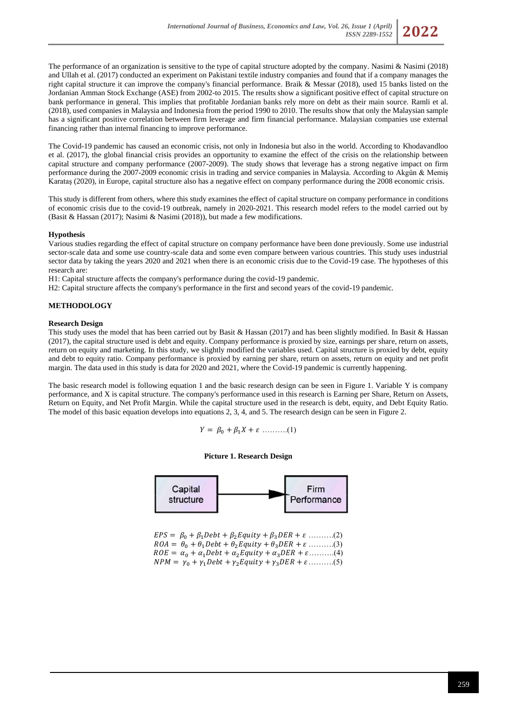

The Covid-19 pandemic has caused an economic crisis, not only in Indonesia but also in the world. According to Khodavandloo et al. (2017), the global financial crisis provides an opportunity to examine the effect of the crisis on the relationship between capital structure and company performance (2007-2009). The study shows that leverage has a strong negative impact on firm performance during the 2007-2009 economic crisis in trading and service companies in Malaysia. According to Akgün & Memiş Karataş (2020), in Europe, capital structure also has a negative effect on company performance during the 2008 economic crisis.

This study is different from others, where this study examines the effect of capital structure on company performance in conditions of economic crisis due to the covid-19 outbreak, namely in 2020-2021. This research model refers to the model carried out by (Basit & Hassan (2017); Nasimi & Nasimi (2018)), but made a few modifications.

## **Hypothesis**

Various studies regarding the effect of capital structure on company performance have been done previously. Some use industrial sector-scale data and some use country-scale data and some even compare between various countries. This study uses industrial sector data by taking the years 2020 and 2021 when there is an economic crisis due to the Covid-19 case. The hypotheses of this research are:

H1: Capital structure affects the company's performance during the covid-19 pandemic.

H2: Capital structure affects the company's performance in the first and second years of the covid-19 pandemic.

## **METHODOLOGY**

### **Research Design**

This study uses the model that has been carried out by Basit & Hassan (2017) and has been slightly modified. In Basit & Hassan (2017), the capital structure used is debt and equity. Company performance is proxied by size, earnings per share, return on assets, return on equity and marketing. In this study, we slightly modified the variables used. Capital structure is proxied by debt, equity and debt to equity ratio. Company performance is proxied by earning per share, return on assets, return on equity and net profit margin. The data used in this study is data for 2020 and 2021, where the Covid-19 pandemic is currently happening.

The basic research model is following equation 1 and the basic research design can be seen in Figure 1. Variable Y is company performance, and X is capital structure. The company's performance used in this research is Earning per Share, Return on Assets, Return on Equity, and Net Profit Margin. While the capital structure used in the research is debt, equity, and Debt Equity Ratio. The model of this basic equation develops into equations 2, 3, 4, and 5. The research design can be seen in Figure 2.

$$
Y = \beta_0 + \beta_1 X + \varepsilon \dots \dots \dots (1)
$$

### **Picture 1. Research Design**



 $EPS = \beta_0 + \beta_1 Debt + \beta_2 Equity + \beta_3 DER + \varepsilon$  ........(2)  $ROA = \theta_0 + \theta_1 Debt + \theta_2 Equity + \theta_3 DER + \varepsilon$  .........(3)  $ROE = \alpha_0 + \alpha_1 Debt + \alpha_2 Equity + \alpha_3 DER + \varepsilon$ .........(4)  $NPM = \gamma_0 + \gamma_1 Debt + \gamma_2 Equity + \gamma_3 DER + \varepsilon$ .........(5)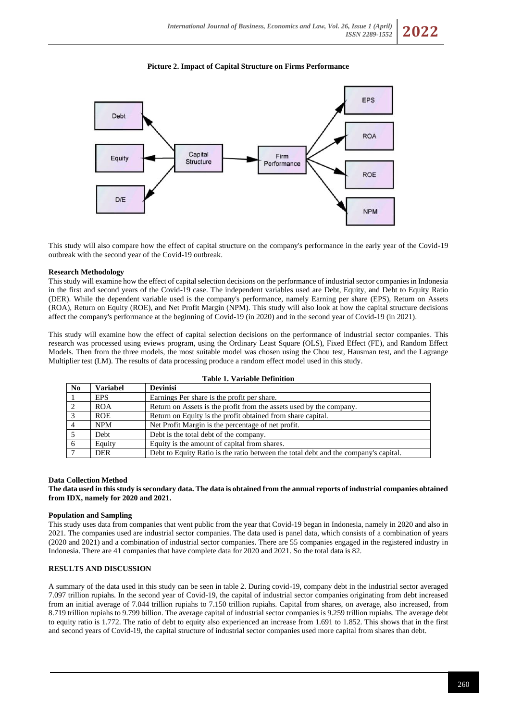## **Picture 2. Impact of Capital Structure on Firms Performance**



This study will also compare how the effect of capital structure on the company's performance in the early year of the Covid-19 outbreak with the second year of the Covid-19 outbreak.

## **Research Methodology**

This study will examine how the effect of capital selection decisions on the performance of industrial sector companies in Indonesia in the first and second years of the Covid-19 case. The independent variables used are Debt, Equity, and Debt to Equity Ratio (DER). While the dependent variable used is the company's performance, namely Earning per share (EPS), Return on Assets (ROA), Return on Equity (ROE), and Net Profit Margin (NPM). This study will also look at how the capital structure decisions affect the company's performance at the beginning of Covid-19 (in 2020) and in the second year of Covid-19 (in 2021).

This study will examine how the effect of capital selection decisions on the performance of industrial sector companies. This research was processed using eviews program, using the Ordinary Least Square (OLS), Fixed Effect (FE), and Random Effect Models. Then from the three models, the most suitable model was chosen using the Chou test, Hausman test, and the Lagrange Multiplier test (LM). The results of data processing produce a random effect model used in this study.

| No.            | <b>Variabel</b> | <b>Devinisi</b>                                                                     |
|----------------|-----------------|-------------------------------------------------------------------------------------|
|                | <b>EPS</b>      | Earnings Per share is the profit per share.                                         |
| 2              | <b>ROA</b>      | Return on Assets is the profit from the assets used by the company.                 |
| -3             | <b>ROE</b>      | Return on Equity is the profit obtained from share capital.                         |
| $\overline{4}$ | <b>NPM</b>      | Net Profit Margin is the percentage of net profit.                                  |
|                | Debt            | Debt is the total debt of the company.                                              |
| - 6            | Equity          | Equity is the amount of capital from shares.                                        |
|                | <b>DER</b>      | Debt to Equity Ratio is the ratio between the total debt and the company's capital. |

#### **Table 1. Variable Definition**

#### **Data Collection Method**

**The data used in this study is secondary data. The data is obtained from the annual reports of industrial companies obtained from IDX, namely for 2020 and 2021.**

### **Population and Sampling**

This study uses data from companies that went public from the year that Covid-19 began in Indonesia, namely in 2020 and also in 2021. The companies used are industrial sector companies. The data used is panel data, which consists of a combination of years (2020 and 2021) and a combination of industrial sector companies. There are 55 companies engaged in the registered industry in Indonesia. There are 41 companies that have complete data for 2020 and 2021. So the total data is 82.

### **RESULTS AND DISCUSSION**

A summary of the data used in this study can be seen in table 2. During covid-19, company debt in the industrial sector averaged 7.097 trillion rupiahs. In the second year of Covid-19, the capital of industrial sector companies originating from debt increased from an initial average of 7.044 trillion rupiahs to 7.150 trillion rupiahs. Capital from shares, on average, also increased, from 8.719 trillion rupiahs to 9.799 billion. The average capital of industrial sector companies is 9.259 trillion rupiahs. The average debt to equity ratio is 1.772. The ratio of debt to equity also experienced an increase from 1.691 to 1.852. This shows that in the first and second years of Covid-19, the capital structure of industrial sector companies used more capital from shares than debt.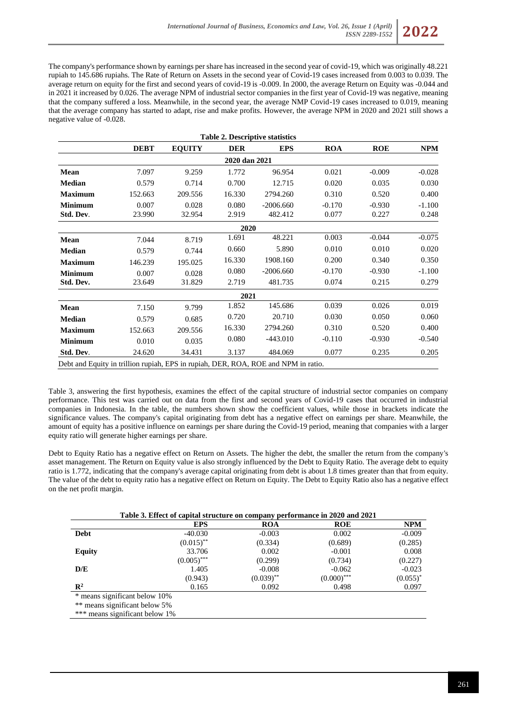The company's performance shown by earnings per share has increased in the second year of covid-19, which was originally 48.221 rupiah to 145.686 rupiahs. The Rate of Return on Assets in the second year of Covid-19 cases increased from 0.003 to 0.039. The average return on equity for the first and second years of covid-19 is -0.009. In 2000, the average Return on Equity was -0.044 and in 2021 it increased by 0.026. The average NPM of industrial sector companies in the first year of Covid-19 was negative, meaning that the company suffered a loss. Meanwhile, in the second year, the average NMP Covid-19 cases increased to 0.019, meaning that the average company has started to adapt, rise and make profits. However, the average NPM in 2020 and 2021 still shows a negative value of -0.028.

|                                                                                    |             |               |               | <b>Table 2. Descriptive statistics</b> |            |            |            |
|------------------------------------------------------------------------------------|-------------|---------------|---------------|----------------------------------------|------------|------------|------------|
|                                                                                    | <b>DEBT</b> | <b>EQUITY</b> | <b>DER</b>    | <b>EPS</b>                             | <b>ROA</b> | <b>ROE</b> | <b>NPM</b> |
|                                                                                    |             |               | 2020 dan 2021 |                                        |            |            |            |
| Mean                                                                               | 7.097       | 9.259         | 1.772         | 96.954                                 | 0.021      | $-0.009$   | $-0.028$   |
| <b>Median</b>                                                                      | 0.579       | 0.714         | 0.700         | 12.715                                 | 0.020      | 0.035      | 0.030      |
| <b>Maximum</b>                                                                     | 152.663     | 209.556       | 16.330        | 2794.260                               | 0.310      | 0.520      | 0.400      |
| <b>Minimum</b>                                                                     | 0.007       | 0.028         | 0.080         | $-2006.660$                            | $-0.170$   | $-0.930$   | $-1.100$   |
| Std. Dev.                                                                          | 23.990      | 32.954        | 2.919         | 482.412                                | 0.077      | 0.227      | 0.248      |
|                                                                                    |             |               | 2020          |                                        |            |            |            |
| Mean                                                                               | 7.044       | 8.719         | 1.691         | 48.221                                 | 0.003      | $-0.044$   | $-0.075$   |
| <b>Median</b>                                                                      | 0.579       | 0.744         | 0.660         | 5.890                                  | 0.010      | 0.010      | 0.020      |
| <b>Maximum</b>                                                                     | 146.239     | 195.025       | 16.330        | 1908.160                               | 0.200      | 0.340      | 0.350      |
| <b>Minimum</b>                                                                     | 0.007       | 0.028         | 0.080         | $-2006.660$                            | $-0.170$   | $-0.930$   | $-1.100$   |
| Std. Dev.                                                                          | 23.649      | 31.829        | 2.719         | 481.735                                | 0.074      | 0.215      | 0.279      |
|                                                                                    |             |               | 2021          |                                        |            |            |            |
| Mean                                                                               | 7.150       | 9.799         | 1.852         | 145.686                                | 0.039      | 0.026      | 0.019      |
| <b>Median</b>                                                                      | 0.579       | 0.685         | 0.720         | 20.710                                 | 0.030      | 0.050      | 0.060      |
| <b>Maximum</b>                                                                     | 152.663     | 209.556       | 16.330        | 2794.260                               | 0.310      | 0.520      | 0.400      |
| <b>Minimum</b>                                                                     | 0.010       | 0.035         | 0.080         | $-443.010$                             | $-0.110$   | $-0.930$   | $-0.540$   |
| Std. Dev.                                                                          | 24.620      | 34.431        | 3.137         | 484.069                                | 0.077      | 0.235      | 0.205      |
| Debt and Equity in trillion rupiah, EPS in rupiah, DER, ROA, ROE and NPM in ratio. |             |               |               |                                        |            |            |            |

Table 3, answering the first hypothesis, examines the effect of the capital structure of industrial sector companies on company performance. This test was carried out on data from the first and second years of Covid-19 cases that occurred in industrial companies in Indonesia. In the table, the numbers shown show the coefficient values, while those in brackets indicate the significance values. The company's capital originating from debt has a negative effect on earnings per share. Meanwhile, the amount of equity has a positive influence on earnings per share during the Covid-19 period, meaning that companies with a larger equity ratio will generate higher earnings per share.

Debt to Equity Ratio has a negative effect on Return on Assets. The higher the debt, the smaller the return from the company's asset management. The Return on Equity value is also strongly influenced by the Debt to Equity Ratio. The average debt to equity ratio is 1.772, indicating that the company's average capital originating from debt is about 1.8 times greater than that from equity. The value of the debt to equity ratio has a negative effect on Return on Equity. The Debt to Equity Ratio also has a negative effect on the net profit margin.

|                                | Table 3. Effect of capital structure on company performance in 2020 and 2021 |                         |               |             |
|--------------------------------|------------------------------------------------------------------------------|-------------------------|---------------|-------------|
|                                | <b>EPS</b>                                                                   | <b>ROA</b>              | <b>ROE</b>    | <b>NPM</b>  |
| Debt                           | $-40.030$                                                                    | $-0.003$                | 0.002         | $-0.009$    |
|                                | $(0.015)$ <sup>**</sup>                                                      | (0.334)                 | (0.689)       | (0.285)     |
| <b>Equity</b>                  | 33.706                                                                       | 0.002                   | $-0.001$      | 0.008       |
|                                | $(0.005)$ ***                                                                | (0.299)                 | (0.734)       | (0.227)     |
| D/E                            | 1.405                                                                        | $-0.008$                | $-0.062$      | $-0.023$    |
|                                | (0.943)                                                                      | $(0.039)$ <sup>**</sup> | $(0.000)$ *** | $(0.055)^*$ |
| $\mathbb{R}^2$                 | 0.165                                                                        | 0.092                   | 0.498         | 0.097       |
| * means significant below 10%  |                                                                              |                         |               |             |
| ** means significant below 5%  |                                                                              |                         |               |             |
| *** means significant below 1% |                                                                              |                         |               |             |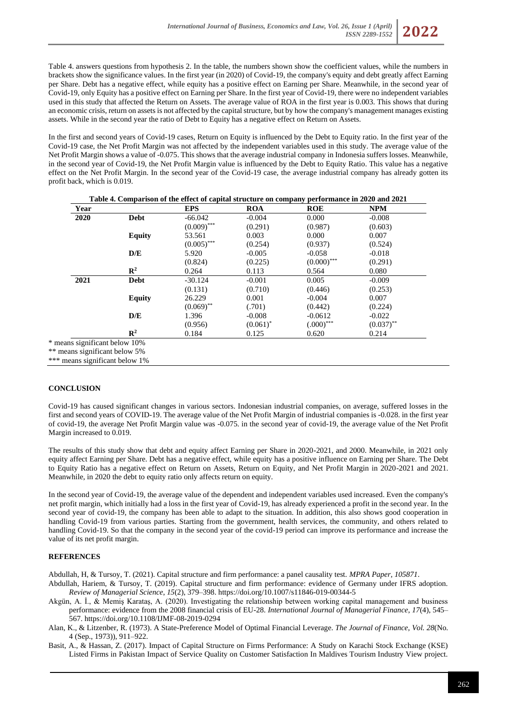

Table 4. answers questions from hypothesis 2. In the table, the numbers shown show the coefficient values, while the numbers in brackets show the significance values. In the first year (in 2020) of Covid-19, the company's equity and debt greatly affect Earning per Share. Debt has a negative effect, while equity has a positive effect on Earning per Share. Meanwhile, in the second year of Covid-19, only Equity has a positive effect on Earning per Share. In the first year of Covid-19, there were no independent variables used in this study that affected the Return on Assets. The average value of ROA in the first year is 0.003. This shows that during an economic crisis, return on assets is not affected by the capital structure, but by how the company's management manages existing assets. While in the second year the ratio of Debt to Equity has a negative effect on Return on Assets.

In the first and second years of Covid-19 cases, Return on Equity is influenced by the Debt to Equity ratio. In the first year of the Covid-19 case, the Net Profit Margin was not affected by the independent variables used in this study. The average value of the Net Profit Margin shows a value of -0.075. This shows that the average industrial company in Indonesia suffers losses. Meanwhile, in the second year of Covid-19, the Net Profit Margin value is influenced by the Debt to Equity Ratio. This value has a negative effect on the Net Profit Margin. In the second year of the Covid-19 case, the average industrial company has already gotten its profit back, which is 0.019.

| Year |                | <b>EPS</b>    | <b>ROA</b>  | <b>ROE</b>    | <b>NPM</b>   |
|------|----------------|---------------|-------------|---------------|--------------|
| 2020 | Debt           | $-66.042$     | $-0.004$    | 0.000         | $-0.008$     |
|      |                | $(0.009)$ *** | (0.291)     | (0.987)       | (0.603)      |
|      | <b>Equity</b>  | 53.561        | 0.003       | 0.000         | 0.007        |
|      |                | $(0.005)$ *** | (0.254)     | (0.937)       | (0.524)      |
|      | D/E            | 5.920         | $-0.005$    | $-0.058$      | $-0.018$     |
|      |                | (0.824)       | (0.225)     | $(0.000)$ *** | (0.291)      |
|      | $\mathbb{R}^2$ | 0.264         | 0.113       | 0.564         | 0.080        |
| 2021 | <b>Debt</b>    | $-30.124$     | $-0.001$    | 0.005         | $-0.009$     |
|      |                | (0.131)       | (0.710)     | (0.446)       | (0.253)      |
|      | <b>Equity</b>  | 26.229        | 0.001       | $-0.004$      | 0.007        |
|      |                | $(0.069)$ **  | (.701)      | (0.442)       | (0.224)      |
|      | D/E            | 1.396         | $-0.008$    | $-0.0612$     | $-0.022$     |
|      |                | (0.956)       | $(0.061)^*$ | $(.000)$ ***  | $(0.037)$ ** |
|      | $\mathbb{R}^2$ | 0.184         | 0.125       | 0.620         | 0.214        |

 $*$  me \*\* means significant below 5%

\*\*\* means significant below 1%

## **CONCLUSION**

Covid-19 has caused significant changes in various sectors. Indonesian industrial companies, on average, suffered losses in the first and second years of COVID-19. The average value of the Net Profit Margin of industrial companies is -0.028. in the first year of covid-19, the average Net Profit Margin value was -0.075. in the second year of covid-19, the average value of the Net Profit Margin increased to 0.019.

The results of this study show that debt and equity affect Earning per Share in 2020-2021, and 2000. Meanwhile, in 2021 only equity affect Earning per Share. Debt has a negative effect, while equity has a positive influence on Earning per Share. The Debt to Equity Ratio has a negative effect on Return on Assets, Return on Equity, and Net Profit Margin in 2020-2021 and 2021. Meanwhile, in 2020 the debt to equity ratio only affects return on equity.

In the second year of Covid-19, the average value of the dependent and independent variables used increased. Even the company's net profit margin, which initially had a loss in the first year of Covid-19, has already experienced a profit in the second year. In the second year of covid-19, the company has been able to adapt to the situation. In addition, this also shows good cooperation in handling Covid-19 from various parties. Starting from the government, health services, the community, and others related to handling Covid-19. So that the company in the second year of the covid-19 period can improve its performance and increase the value of its net profit margin.

## **REFERENCES**

Abdullah, H, & Tursoy, T. (2021). Capital structure and firm performance: a panel causality test. *MPRA Paper*, *105871*.

- Abdullah, Hariem, & Tursoy, T. (2019). Capital structure and firm performance: evidence of Germany under IFRS adoption. *Review of Managerial Science*, *15*(2), 379–398. https://doi.org/10.1007/s11846-019-00344-5
- Akgün, A. İ., & Memiş Karataş, A. (2020). Investigating the relationship between working capital management and business performance: evidence from the 2008 financial crisis of EU-28. *International Journal of Managerial Finance*, *17*(4), 545– 567. https://doi.org/10.1108/IJMF-08-2019-0294
- Alan, K., & Litzenber, R. (1973). A State-Preference Model of Optimal Financial Leverage. *The Journal of Finance*, *Vol. 28*(No. 4 (Sep., 1973)), 911–922.
- Basit, A., & Hassan, Z. (2017). Impact of Capital Structure on Firms Performance: A Study on Karachi Stock Exchange (KSE) Listed Firms in Pakistan Impact of Service Quality on Customer Satisfaction In Maldives Tourism Industry View project.